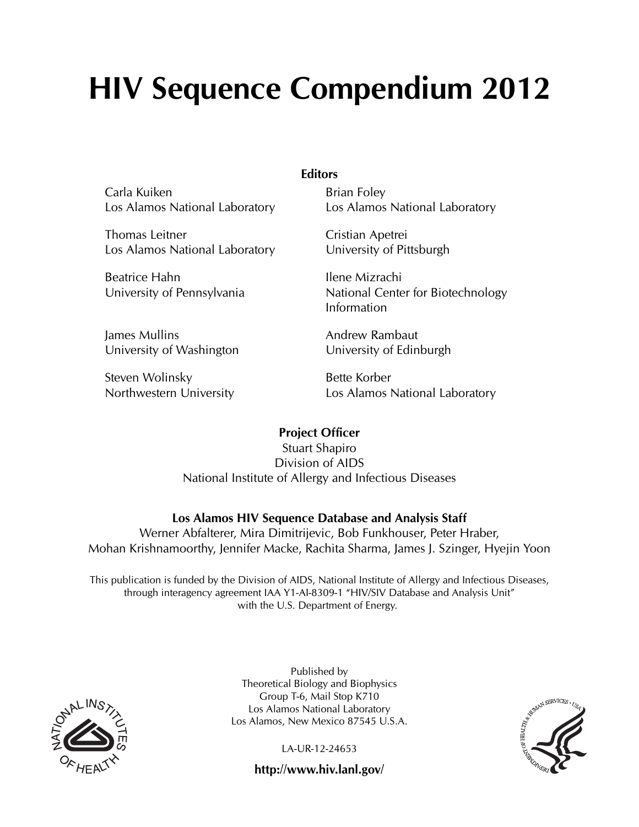# HIV Sequence Compendium 2012

**Editors** 

Carla Kuiken Los Alamos National Laboratory

Thomas Leitner Los Alamos National Laboratory

Beatrice Hahn University of Pennsylvania

James Mullins University of Washington

Steven Wolinsky Northwestern University Brian Foley Los Alamos National Laboratory

Cristian Apetrei University of Pittsburgh

Ilene Mizrachi National Center for Biotechnology Information

Andrew Rambaut University of Edinburgh

Bette Korber Los Alamos National Laboratory

### Project Officer

Stuart Shapiro Division of AIDS National Institute of Allergy and Infectious Diseases

### Los Alamos HIV Sequence Database and Analysis Staff

Werner Abfalterer, Mira Dimitrijevic, Bob Funkhouser, Peter Hraber, Mohan Krishnamoorthy, Jennifer Macke, Rachita Sharma, James J. Szinger, Hyejin Yoon

This publication is funded by the Division of AIDS, National Institute of Allergy and Infectious Diseases, through interagency agreement IAA Y1-AI-8309-1 "HIV/SIV Database and Analysis Unit" with the U.S. Department of Energy.



Published by Theoretical Biology and Biophysics Group T-6, Mail Stop K710 Los Alamos National Laboratory Los Alamos, New Mexico 87545 U.S.A.

LA-UR-12-24653



http://www.hiv.lanl.gov/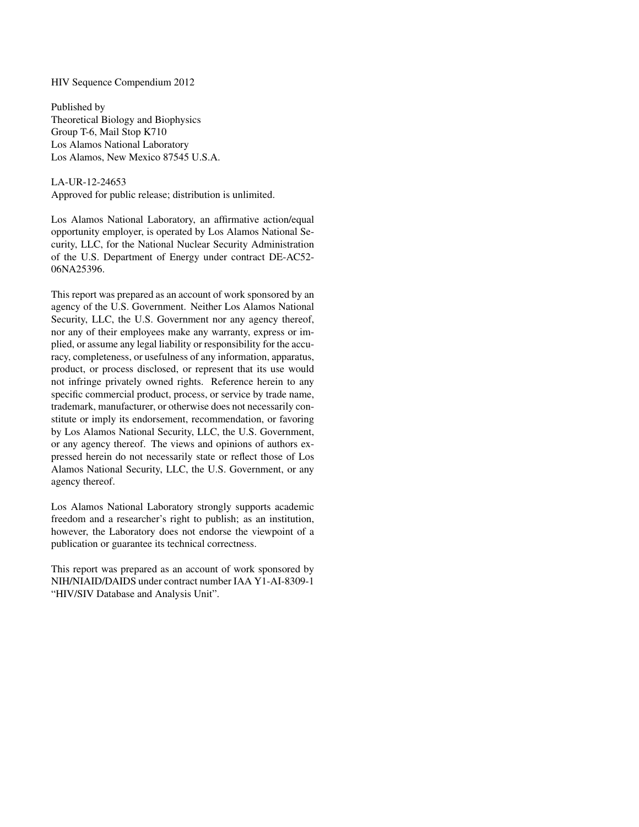#### HIV Sequence Compendium 2012

Published by Theoretical Biology and Biophysics Group T-6, Mail Stop K710 Los Alamos National Laboratory Los Alamos, New Mexico 87545 U.S.A.

#### LA-UR-12-24653

Approved for public release; distribution is unlimited.

Los Alamos National Laboratory, an affirmative action/equal opportunity employer, is operated by Los Alamos National Security, LLC, for the National Nuclear Security Administration of the U.S. Department of Energy under contract DE-AC52- 06NA25396.

This report was prepared as an account of work sponsored by an agency of the U.S. Government. Neither Los Alamos National Security, LLC, the U.S. Government nor any agency thereof, nor any of their employees make any warranty, express or implied, or assume any legal liability or responsibility for the accuracy, completeness, or usefulness of any information, apparatus, product, or process disclosed, or represent that its use would not infringe privately owned rights. Reference herein to any specific commercial product, process, or service by trade name, trademark, manufacturer, or otherwise does not necessarily constitute or imply its endorsement, recommendation, or favoring by Los Alamos National Security, LLC, the U.S. Government, or any agency thereof. The views and opinions of authors expressed herein do not necessarily state or reflect those of Los Alamos National Security, LLC, the U.S. Government, or any agency thereof.

Los Alamos National Laboratory strongly supports academic freedom and a researcher's right to publish; as an institution, however, the Laboratory does not endorse the viewpoint of a publication or guarantee its technical correctness.

This report was prepared as an account of work sponsored by NIH/NIAID/DAIDS under contract number IAA Y1-AI-8309-1 "HIV/SIV Database and Analysis Unit".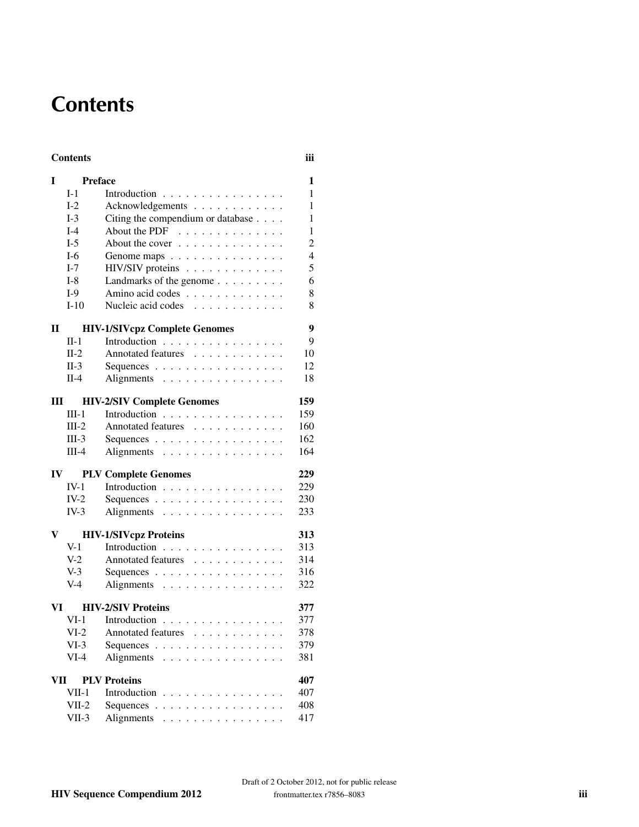# **Contents**

#### Contents iii

| I                                 | <b>Preface</b>                       |                                             | $\mathbf{1}$   |  |  |  |
|-----------------------------------|--------------------------------------|---------------------------------------------|----------------|--|--|--|
|                                   | $I-1$                                | Introduction                                | $\mathbf{1}$   |  |  |  |
|                                   | $I-2$                                | Acknowledgements                            | $\mathbf{1}$   |  |  |  |
|                                   | $I-3$                                | Citing the compendium or database           | $\mathbf{1}$   |  |  |  |
|                                   | $I-4$                                | About the PDF $\ldots \ldots \ldots \ldots$ | 1              |  |  |  |
|                                   | $I-5$                                | About the cover $\dots \dots \dots \dots$   | $\overline{c}$ |  |  |  |
|                                   | $I-6$                                | Genome maps                                 | $\overline{4}$ |  |  |  |
|                                   | $I-7$                                | HIV/SIV proteins                            | 5              |  |  |  |
|                                   | $I-8$                                | Landmarks of the genome                     | 6              |  |  |  |
|                                   | $I-9$                                | Amino acid codes                            | 8              |  |  |  |
|                                   | $I-10$                               | Nucleic acid codes                          | 8              |  |  |  |
| $\mathbf{I}$                      | <b>HIV-1/SIVcpz Complete Genomes</b> |                                             |                |  |  |  |
|                                   | $\Pi-1$                              | Introduction                                | 9              |  |  |  |
|                                   | $II-2$                               | Annotated features                          | 10             |  |  |  |
|                                   | $II-3$                               | Sequences                                   | 12             |  |  |  |
|                                   | $II-4$                               | Alignments                                  | 18             |  |  |  |
| Ш                                 |                                      | <b>HIV-2/SIV Complete Genomes</b>           | 159            |  |  |  |
|                                   | $III-1$                              | Introduction                                | 159            |  |  |  |
|                                   | $III-2$                              | Annotated features                          | 160            |  |  |  |
|                                   | $III-3$                              | Sequences                                   | 162            |  |  |  |
|                                   | $III-4$                              | Alignments                                  | 164            |  |  |  |
| $\mathbf{IV}$                     |                                      | <b>PLV Complete Genomes</b>                 | 229            |  |  |  |
|                                   | $IV-1$                               | Introduction                                | 229            |  |  |  |
|                                   | $IV-2$                               | Sequences                                   | 230            |  |  |  |
|                                   | $IV-3$                               | Alignments                                  | 233            |  |  |  |
| V                                 |                                      | <b>HIV-1/SIVcpz Proteins</b>                | 313            |  |  |  |
|                                   | $V-1$                                | Introduction                                | 313            |  |  |  |
|                                   | $V-2$                                | Annotated features                          | 314            |  |  |  |
|                                   | $V-3$                                | Sequences                                   | 316            |  |  |  |
|                                   | $V-4$                                | Alignments                                  | 322            |  |  |  |
| VI —                              |                                      | <b>HIV-2/SIV Proteins</b>                   | 377            |  |  |  |
|                                   | $VI-1$                               | Introduction                                | 377            |  |  |  |
|                                   | $VI-2$                               | Annotated features                          | 378            |  |  |  |
|                                   | $VI-3$                               | Sequences                                   | 379            |  |  |  |
|                                   | $VI-4$                               | Alignments                                  | 381            |  |  |  |
| 407<br>VII<br><b>PLV Proteins</b> |                                      |                                             |                |  |  |  |
|                                   | VII-1                                | Introduction                                | 407            |  |  |  |
|                                   | $VII-2$                              | Sequences                                   | 408            |  |  |  |
|                                   | $VII-3$                              | Alignments                                  | 417            |  |  |  |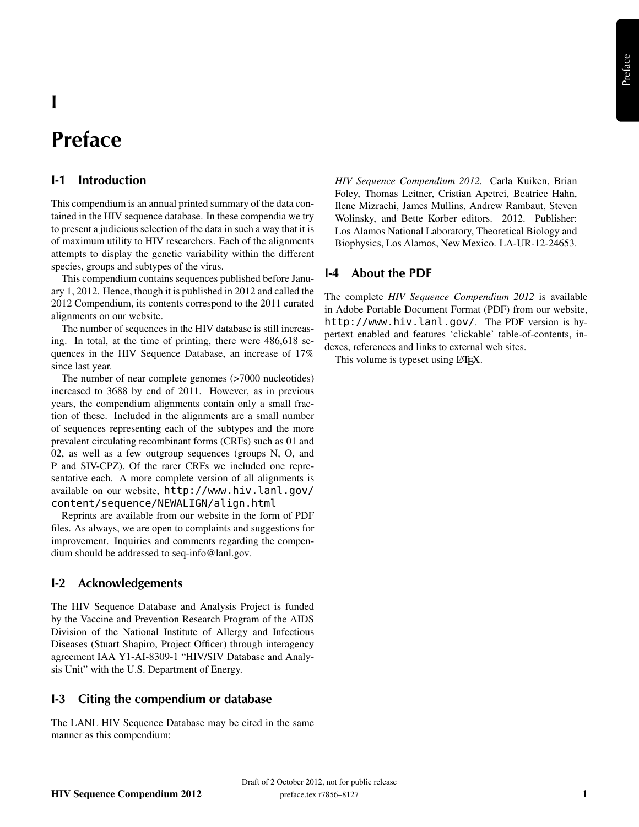# I

# Preface

#### I-1 Introduction

This compendium is an annual printed summary of the data contained in the HIV sequence database. In these compendia we try to present a judicious selection of the data in such a way that it is of maximum utility to HIV researchers. Each of the alignments attempts to display the genetic variability within the different species, groups and subtypes of the virus.

This compendium contains sequences published before January 1, 2012. Hence, though it is published in 2012 and called the 2012 Compendium, its contents correspond to the 2011 curated alignments on our website.

The number of sequences in the HIV database is still increasing. In total, at the time of printing, there were 486,618 sequences in the HIV Sequence Database, an increase of 17% since last year.

The number of near complete genomes (>7000 nucleotides) increased to 3688 by end of 2011. However, as in previous years, the compendium alignments contain only a small fraction of these. Included in the alignments are a small number of sequences representing each of the subtypes and the more prevalent circulating recombinant forms (CRFs) such as 01 and 02, as well as a few outgroup sequences (groups N, O, and P and SIV-CPZ). Of the rarer CRFs we included one representative each. A more complete version of all alignments is available on our website, http://www.hiv.lanl.gov/ content/sequence/NEWALIGN/align.html

Reprints are available from our website in the form of PDF files. As always, we are open to complaints and suggestions for improvement. Inquiries and comments regarding the compendium should be addressed to seq-info@lanl.gov.

#### I-2 Acknowledgements

The HIV Sequence Database and Analysis Project is funded by the Vaccine and Prevention Research Program of the AIDS Division of the National Institute of Allergy and Infectious Diseases (Stuart Shapiro, Project Officer) through interagency agreement IAA Y1-AI-8309-1 "HIV/SIV Database and Analysis Unit" with the U.S. Department of Energy.

#### I-3 Citing the compendium or database

The LANL HIV Sequence Database may be cited in the same manner as this compendium:

*HIV Sequence Compendium 2012.* Carla Kuiken, Brian Foley, Thomas Leitner, Cristian Apetrei, Beatrice Hahn, Ilene Mizrachi, James Mullins, Andrew Rambaut, Steven Wolinsky, and Bette Korber editors. 2012. Publisher: Los Alamos National Laboratory, Theoretical Biology and Biophysics, Los Alamos, New Mexico. LA-UR-12-24653.

#### I-4 About the PDF

The complete *HIV Sequence Compendium 2012* is available in Adobe Portable Document Format (PDF) from our website, http://www.hiv.lanl.gov/. The PDF version is hypertext enabled and features 'clickable' table-of-contents, indexes, references and links to external web sites.

This volume is typeset using LAT<sub>EX</sub>.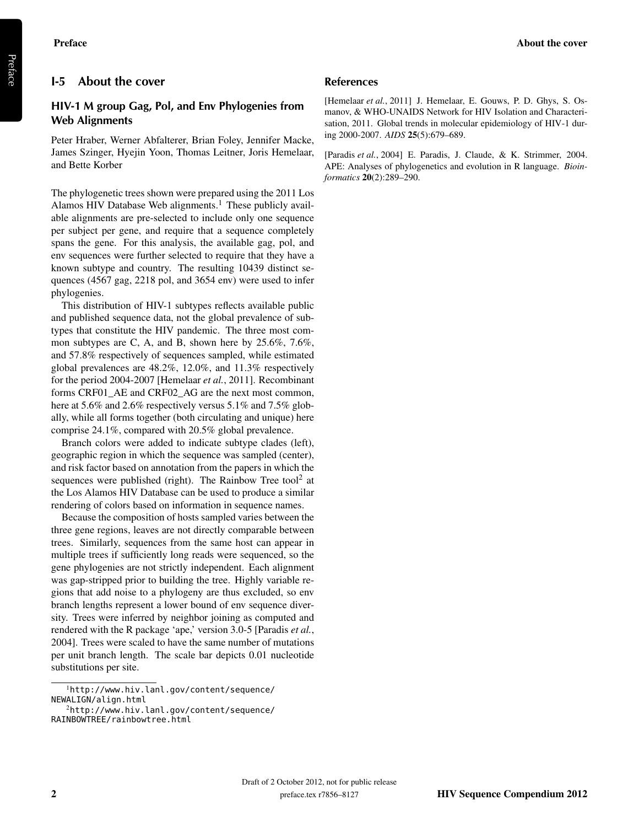#### I-5 About the cover

#### HIV-1 M group Gag, Pol, and Env Phylogenies from Web Alignments

Peter Hraber, Werner Abfalterer, Brian Foley, Jennifer Macke, James Szinger, Hyejin Yoon, Thomas Leitner, Joris Hemelaar, and Bette Korber

The phylogenetic trees shown were prepared using the 2011 Los Alamos HIV Database Web alignments.<sup>1</sup> These publicly available alignments are pre-selected to include only one sequence per subject per gene, and require that a sequence completely spans the gene. For this analysis, the available gag, pol, and env sequences were further selected to require that they have a known subtype and country. The resulting 10439 distinct sequences (4567 gag, 2218 pol, and 3654 env) were used to infer phylogenies.

This distribution of HIV-1 subtypes reflects available public and published sequence data, not the global prevalence of subtypes that constitute the HIV pandemic. The three most common subtypes are C, A, and B, shown here by 25.6%, 7.6%, and 57.8% respectively of sequences sampled, while estimated global prevalences are 48.2%, 12.0%, and 11.3% respectively for the period 2004-2007 [Hemelaar *et al.*, 2011]. Recombinant forms CRF01\_AE and CRF02\_AG are the next most common, here at 5.6% and 2.6% respectively versus 5.1% and 7.5% globally, while all forms together (both circulating and unique) here comprise 24.1%, compared with 20.5% global prevalence.

Branch colors were added to indicate subtype clades (left), geographic region in which the sequence was sampled (center), and risk factor based on annotation from the papers in which the sequences were published (right). The Rainbow Tree tool<sup>2</sup> at the Los Alamos HIV Database can be used to produce a similar rendering of colors based on information in sequence names.

Because the composition of hosts sampled varies between the three gene regions, leaves are not directly comparable between trees. Similarly, sequences from the same host can appear in multiple trees if sufficiently long reads were sequenced, so the gene phylogenies are not strictly independent. Each alignment was gap-stripped prior to building the tree. Highly variable regions that add noise to a phylogeny are thus excluded, so env branch lengths represent a lower bound of env sequence diversity. Trees were inferred by neighbor joining as computed and rendered with the R package 'ape,' version 3.0-5 [Paradis *et al.*, 2004]. Trees were scaled to have the same number of mutations per unit branch length. The scale bar depicts 0.01 nucleotide substitutions per site.

#### References

[Hemelaar *et al.*, 2011] J. Hemelaar, E. Gouws, P. D. Ghys, S. Osmanov, & WHO-UNAIDS Network for HIV Isolation and Characterisation, 2011. Global trends in molecular epidemiology of HIV-1 during 2000-2007. *AIDS* 25(5):679–689.

[Paradis *et al.*, 2004] E. Paradis, J. Claude, & K. Strimmer, 2004. APE: Analyses of phylogenetics and evolution in R language. *Bioinformatics* 20(2):289–290.

<sup>1</sup>http://www.hiv.lanl.gov/content/sequence/ NEWALIGN/align.html

<sup>2</sup>http://www.hiv.lanl.gov/content/sequence/ RAINBOWTREE/rainbowtree.html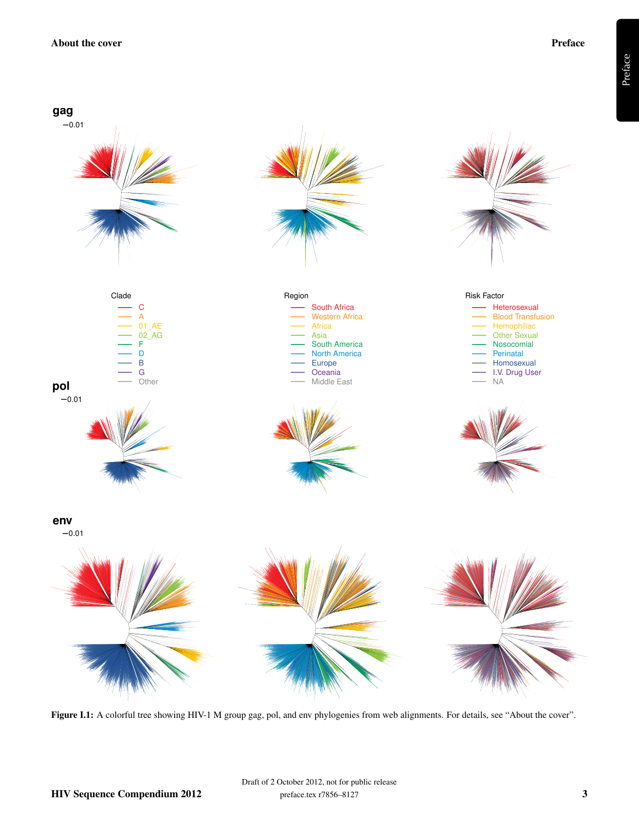

Figure I.1: A colorful tree showing HIV-1 M group gag, pol, and env phylogenies from web alignments. For details, see "About the cover".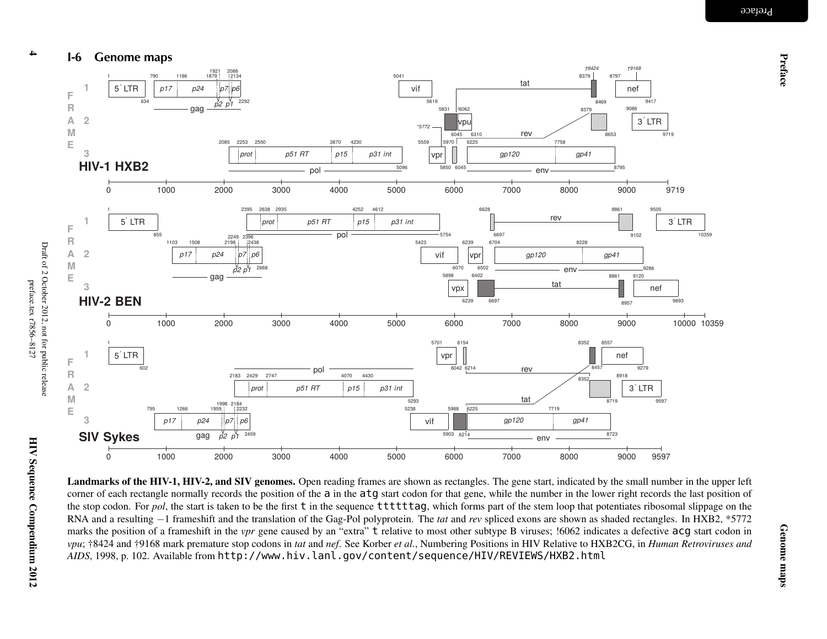Preface



 $\frac{1}{5' LTR}$ 602795 1266 1959 22321998 2184 2459 2183 2429 2747 4070 44305293 5238vif5903 6214 59886225 7719 872387193΄ LTR 9597**123 SIV Sykes**0 1000 2000 3000 4000 5000 6000 7000 8000 90009000 9597 tatenv*gp120 gp41p15prot p51 RT p31 int*gag*p17 p24 p7p2 p1p6*55

Landmarks of the HIV-1, HIV-2, and SIV genomes. Open reading frames are shown as rectangles. The gene start, indicated by the small number in the upper left corner of each rectangle normally records the position of the a in the atg start codon for that gene, while the number in the lower right records the last position of the stop codon. For *pol*, the start is taken to be the first t in the sequence ttttttag, which forms part of the stem loop that potentiates ribosomal slippage on the RNA and <sup>a</sup> resulting <sup>−</sup><sup>1</sup> frameshift and the translation of the Gag-Pol polyprotein. The *tat* and *rev* spliced exons are shown as shaded rectangles. In HXB2, \*5772 marks the position of a frameshift in the *vpr* gene caused by an "extra" t relative to most other subtype B viruses; !6062 indicates a defective acg start codon in vpu; †8424 and †9168 mark premature stop codons in tat and nef. See Korber et al., Numbering Positions in HIV Relative to HXB2CG, in Human Retroviruses and *AIDS*, 1998, p. 102. Available from http://www.hiv.lanl.gov/content/sequence/HIV/REVIEWS/HXB2.html

634

**123**

**123**

**FRAME**

**FRAME**

**FRAME**

4

**HIV-1 HXB2**

**HIV-2 BEN**

 $\frac{1}{5}$  LTR

855

gag

 $1103$   $1508$   $2198$ 

gag

*p17 p24 p7*

790 1186 1879 2134

*p17 p24*

1921 2086<br>1879 213

 $p<sub>7</sub>$ *p2 p1p6*

2293

2249 23962438

> *p2 p1p6*

2668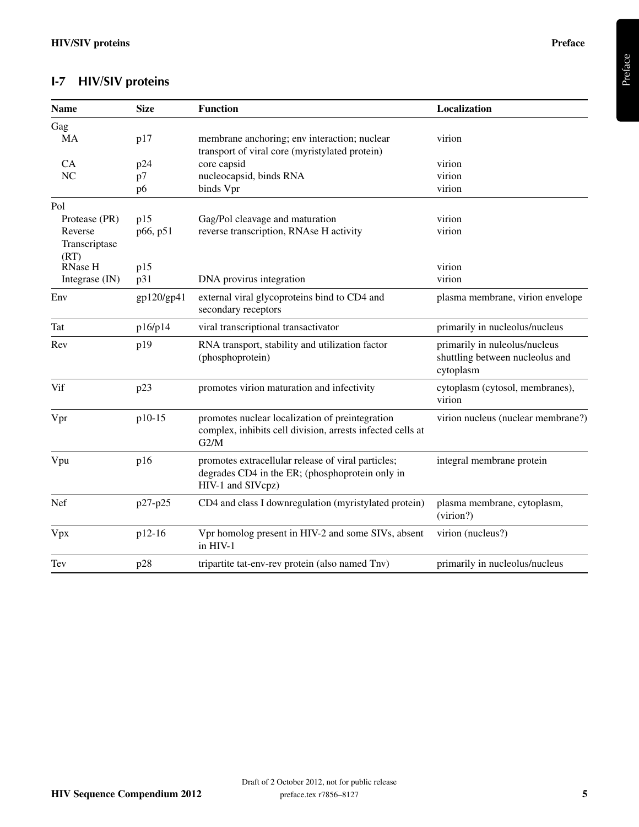## I-7 HIV/SIV proteins

| <b>Name</b>           | <b>Size</b> | <b>Function</b>                                                                                                            | Localization                                                                  |
|-----------------------|-------------|----------------------------------------------------------------------------------------------------------------------------|-------------------------------------------------------------------------------|
| Gag                   |             |                                                                                                                            |                                                                               |
| MA                    | p17         | membrane anchoring; env interaction; nuclear<br>transport of viral core (myristylated protein)                             | virion                                                                        |
| <b>CA</b>             | p24         | core capsid                                                                                                                | virion                                                                        |
| NC                    | p7          | nucleocapsid, binds RNA                                                                                                    | virion                                                                        |
|                       | p6          | binds Vpr                                                                                                                  | virion                                                                        |
| Pol                   |             |                                                                                                                            |                                                                               |
| Protease (PR)         | p15         | Gag/Pol cleavage and maturation                                                                                            | virion                                                                        |
| Reverse               | p66, p51    | reverse transcription, RNAse H activity                                                                                    | virion                                                                        |
| Transcriptase<br>(RT) |             |                                                                                                                            |                                                                               |
| RNase H               | p15         |                                                                                                                            | virion                                                                        |
| Integrase (IN)        | p31         | DNA provirus integration                                                                                                   | virion                                                                        |
| Env                   | gp120/gp41  | external viral glycoproteins bind to CD4 and<br>secondary receptors                                                        | plasma membrane, virion envelope                                              |
| Tat                   | p16/p14     | viral transcriptional transactivator                                                                                       | primarily in nucleolus/nucleus                                                |
| Rev                   | p19         | RNA transport, stability and utilization factor<br>(phosphoprotein)                                                        | primarily in nuleolus/nucleus<br>shuttling between nucleolus and<br>cytoplasm |
| Vif                   | p23         | promotes virion maturation and infectivity                                                                                 | cytoplasm (cytosol, membranes),<br>virion                                     |
| Vpr                   | p10-15      | promotes nuclear localization of preintegration<br>complex, inhibits cell division, arrests infected cells at<br>G2/M      | virion nucleus (nuclear membrane?)                                            |
| Vpu                   | p16         | promotes extracellular release of viral particles;<br>degrades CD4 in the ER; (phosphoprotein only in<br>HIV-1 and SIVcpz) | integral membrane protein                                                     |
| Nef                   | p27-p25     | CD4 and class I downregulation (myristylated protein)                                                                      | plasma membrane, cytoplasm,<br>(virion?)                                      |
| Vpx                   | p12-16      | Vpr homolog present in HIV-2 and some SIVs, absent<br>in HIV-1                                                             | virion (nucleus?)                                                             |
| Tev                   | p28         | tripartite tat-env-rev protein (also named Tnv)                                                                            | primarily in nucleolus/nucleus                                                |

Preface

Draft of 2 October 2012, not for public release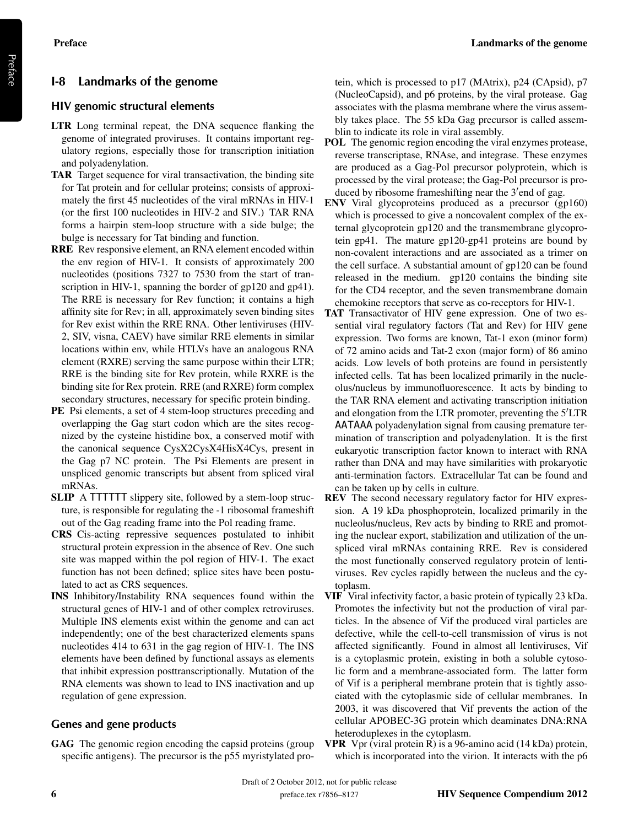#### I-8 Landmarks of the genome

#### HIV genomic structural elements

- LTR Long terminal repeat, the DNA sequence flanking the genome of integrated proviruses. It contains important regulatory regions, especially those for transcription initiation and polyadenylation.
- TAR Target sequence for viral transactivation, the binding site for Tat protein and for cellular proteins; consists of approximately the first 45 nucleotides of the viral mRNAs in HIV-1 (or the first 100 nucleotides in HIV-2 and SIV.) TAR RNA forms a hairpin stem-loop structure with a side bulge; the bulge is necessary for Tat binding and function.
- RRE Rev responsive element, an RNA element encoded within the env region of HIV-1. It consists of approximately 200 nucleotides (positions 7327 to 7530 from the start of transcription in HIV-1, spanning the border of gp120 and gp41). The RRE is necessary for Rev function; it contains a high affinity site for Rev; in all, approximately seven binding sites for Rev exist within the RRE RNA. Other lentiviruses (HIV-2, SIV, visna, CAEV) have similar RRE elements in similar locations within env, while HTLVs have an analogous RNA element (RXRE) serving the same purpose within their LTR; RRE is the binding site for Rev protein, while RXRE is the binding site for Rex protein. RRE (and RXRE) form complex secondary structures, necessary for specific protein binding.
- PE Psi elements, a set of 4 stem-loop structures preceding and overlapping the Gag start codon which are the sites recognized by the cysteine histidine box, a conserved motif with the canonical sequence CysX2CysX4HisX4Cys, present in the Gag p7 NC protein. The Psi Elements are present in unspliced genomic transcripts but absent from spliced viral mRNAs.
- SLIP A TTTTTT slippery site, followed by a stem-loop structure, is responsible for regulating the -1 ribosomal frameshift out of the Gag reading frame into the Pol reading frame.
- CRS Cis-acting repressive sequences postulated to inhibit structural protein expression in the absence of Rev. One such site was mapped within the pol region of HIV-1. The exact function has not been defined; splice sites have been postulated to act as CRS sequences.
- INS Inhibitory/Instability RNA sequences found within the structural genes of HIV-1 and of other complex retroviruses. Multiple INS elements exist within the genome and can act independently; one of the best characterized elements spans nucleotides 414 to 631 in the gag region of HIV-1. The INS elements have been defined by functional assays as elements that inhibit expression posttranscriptionally. Mutation of the RNA elements was shown to lead to INS inactivation and up regulation of gene expression.

#### Genes and gene products

GAG The genomic region encoding the capsid proteins (group specific antigens). The precursor is the p55 myristylated protein, which is processed to p17 (MAtrix), p24 (CApsid), p7 (NucleoCapsid), and p6 proteins, by the viral protease. Gag associates with the plasma membrane where the virus assembly takes place. The 55 kDa Gag precursor is called assemblin to indicate its role in viral assembly.

- POL The genomic region encoding the viral enzymes protease, reverse transcriptase, RNAse, and integrase. These enzymes are produced as a Gag-Pol precursor polyprotein, which is processed by the viral protease; the Gag-Pol precursor is produced by ribosome frameshifting near the 3'end of gag.
- ENV Viral glycoproteins produced as a precursor (gp160) which is processed to give a noncovalent complex of the external glycoprotein gp120 and the transmembrane glycoprotein gp41. The mature gp120-gp41 proteins are bound by non-covalent interactions and are associated as a trimer on the cell surface. A substantial amount of gp120 can be found released in the medium. gp120 contains the binding site for the CD4 receptor, and the seven transmembrane domain chemokine receptors that serve as co-receptors for HIV-1.
- TAT Transactivator of HIV gene expression. One of two essential viral regulatory factors (Tat and Rev) for HIV gene expression. Two forms are known, Tat-1 exon (minor form) of 72 amino acids and Tat-2 exon (major form) of 86 amino acids. Low levels of both proteins are found in persistently infected cells. Tat has been localized primarily in the nucleolus/nucleus by immunofluorescence. It acts by binding to the TAR RNA element and activating transcription initiation and elongation from the LTR promoter, preventing the  $5^{\prime}$ LTR AATAAA polyadenylation signal from causing premature termination of transcription and polyadenylation. It is the first eukaryotic transcription factor known to interact with RNA rather than DNA and may have similarities with prokaryotic anti-termination factors. Extracellular Tat can be found and can be taken up by cells in culture.
- REV The second necessary regulatory factor for HIV expression. A 19 kDa phosphoprotein, localized primarily in the nucleolus/nucleus, Rev acts by binding to RRE and promoting the nuclear export, stabilization and utilization of the unspliced viral mRNAs containing RRE. Rev is considered the most functionally conserved regulatory protein of lentiviruses. Rev cycles rapidly between the nucleus and the cytoplasm.
- VIF Viral infectivity factor, a basic protein of typically 23 kDa. Promotes the infectivity but not the production of viral particles. In the absence of Vif the produced viral particles are defective, while the cell-to-cell transmission of virus is not affected significantly. Found in almost all lentiviruses, Vif is a cytoplasmic protein, existing in both a soluble cytosolic form and a membrane-associated form. The latter form of Vif is a peripheral membrane protein that is tightly associated with the cytoplasmic side of cellular membranes. In 2003, it was discovered that Vif prevents the action of the cellular APOBEC-3G protein which deaminates DNA:RNA heteroduplexes in the cytoplasm.
- VPR Vpr (viral protein R) is a 96-amino acid (14 kDa) protein, which is incorporated into the virion. It interacts with the p6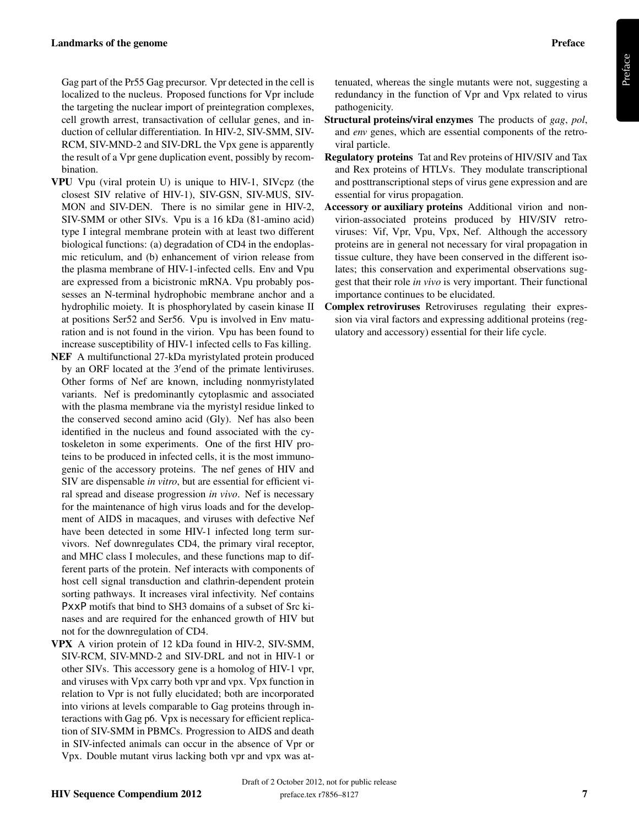Gag part of the Pr55 Gag precursor. Vpr detected in the cell is localized to the nucleus. Proposed functions for Vpr include the targeting the nuclear import of preintegration complexes, cell growth arrest, transactivation of cellular genes, and induction of cellular differentiation. In HIV-2, SIV-SMM, SIV-RCM, SIV-MND-2 and SIV-DRL the Vpx gene is apparently the result of a Vpr gene duplication event, possibly by recombination.

- VPU Vpu (viral protein U) is unique to HIV-1, SIVcpz (the closest SIV relative of HIV-1), SIV-GSN, SIV-MUS, SIV-MON and SIV-DEN. There is no similar gene in HIV-2, SIV-SMM or other SIVs. Vpu is a 16 kDa (81-amino acid) type I integral membrane protein with at least two different biological functions: (a) degradation of CD4 in the endoplasmic reticulum, and (b) enhancement of virion release from the plasma membrane of HIV-1-infected cells. Env and Vpu are expressed from a bicistronic mRNA. Vpu probably possesses an N-terminal hydrophobic membrane anchor and a hydrophilic moiety. It is phosphorylated by casein kinase II at positions Ser52 and Ser56. Vpu is involved in Env maturation and is not found in the virion. Vpu has been found to increase susceptibility of HIV-1 infected cells to Fas killing.
- NEF A multifunctional 27-kDa myristylated protein produced by an ORF located at the 3'end of the primate lentiviruses. Other forms of Nef are known, including nonmyristylated variants. Nef is predominantly cytoplasmic and associated with the plasma membrane via the myristyl residue linked to the conserved second amino acid (Gly). Nef has also been identified in the nucleus and found associated with the cytoskeleton in some experiments. One of the first HIV proteins to be produced in infected cells, it is the most immunogenic of the accessory proteins. The nef genes of HIV and SIV are dispensable *in vitro*, but are essential for efficient viral spread and disease progression *in vivo*. Nef is necessary for the maintenance of high virus loads and for the development of AIDS in macaques, and viruses with defective Nef have been detected in some HIV-1 infected long term survivors. Nef downregulates CD4, the primary viral receptor, and MHC class I molecules, and these functions map to different parts of the protein. Nef interacts with components of host cell signal transduction and clathrin-dependent protein sorting pathways. It increases viral infectivity. Nef contains PxxP motifs that bind to SH3 domains of a subset of Src kinases and are required for the enhanced growth of HIV but not for the downregulation of CD4.
- VPX A virion protein of 12 kDa found in HIV-2, SIV-SMM, SIV-RCM, SIV-MND-2 and SIV-DRL and not in HIV-1 or other SIVs. This accessory gene is a homolog of HIV-1 vpr, and viruses with Vpx carry both vpr and vpx. Vpx function in relation to Vpr is not fully elucidated; both are incorporated into virions at levels comparable to Gag proteins through interactions with Gag p6. Vpx is necessary for efficient replication of SIV-SMM in PBMCs. Progression to AIDS and death in SIV-infected animals can occur in the absence of Vpr or Vpx. Double mutant virus lacking both vpr and vpx was at-

tenuated, whereas the single mutants were not, suggesting a redundancy in the function of Vpr and Vpx related to virus pathogenicity.

- Structural proteins/viral enzymes The products of *gag*, *pol*, and *env* genes, which are essential components of the retroviral particle.
- Regulatory proteins Tat and Rev proteins of HIV/SIV and Tax and Rex proteins of HTLVs. They modulate transcriptional and posttranscriptional steps of virus gene expression and are essential for virus propagation.
- Accessory or auxiliary proteins Additional virion and nonvirion-associated proteins produced by HIV/SIV retroviruses: Vif, Vpr, Vpu, Vpx, Nef. Although the accessory proteins are in general not necessary for viral propagation in tissue culture, they have been conserved in the different isolates; this conservation and experimental observations suggest that their role *in vivo* is very important. Their functional importance continues to be elucidated.
- Complex retroviruses Retroviruses regulating their expression via viral factors and expressing additional proteins (regulatory and accessory) essential for their life cycle.